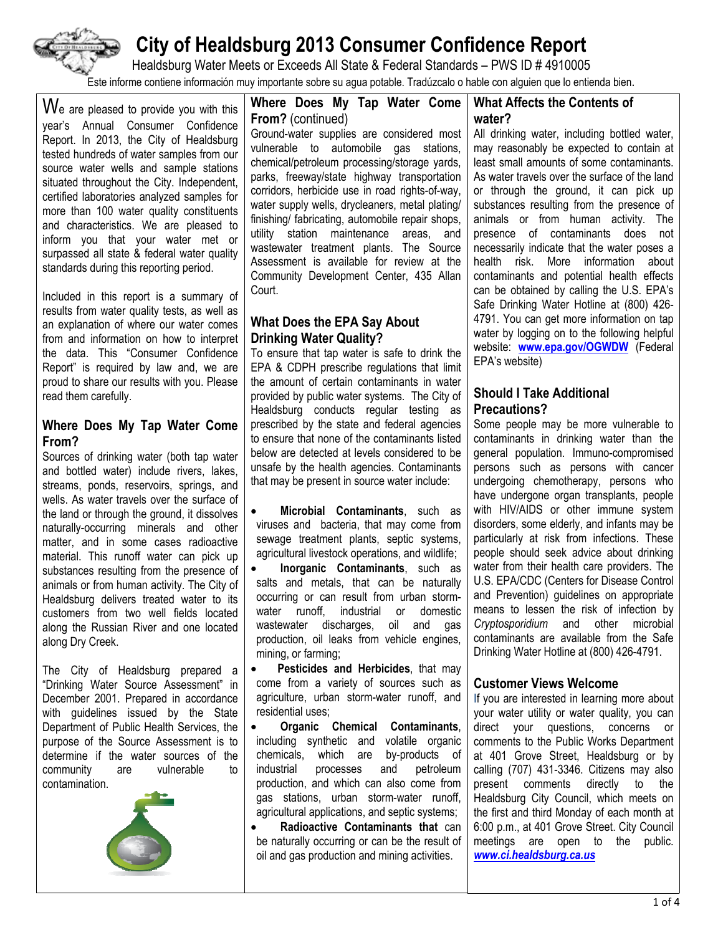

Healdsburg Water Meets or Exceeds All State & Federal Standards – PWS ID # 4910005

Este informe contiene información muy importante sobre su agua potable. Tradúzcalo o hable con alguien que lo entienda bien.

 $\boldsymbol{W}$ e are pleased to provide you with this year's Annual Consumer Confidence Report. In 2013, the City of Healdsburg tested hundreds of water samples from our source water wells and sample stations situated throughout the City. Independent, certified laboratories analyzed samples for more than 100 water quality constituents and characteristics. We are pleased to inform you that your water met or surpassed all state & federal water quality standards during this reporting period.

Included in this report is a summary of results from water quality tests, as well as an explanation of where our water comes from and information on how to interpret the data. This "Consumer Confidence Report" is required by law and, we are proud to share our results with you. Please read them carefully.

#### **Where Does My Tap Water Come From?**

Sources of drinking water (both tap water and bottled water) include rivers, lakes, streams, ponds, reservoirs, springs, and wells. As water travels over the surface of the land or through the ground, it dissolves naturally-occurring minerals and other matter, and in some cases radioactive material. This runoff water can pick up substances resulting from the presence of animals or from human activity. The City of Healdsburg delivers treated water to its customers from two well fields located along the Russian River and one located along Dry Creek.

The City of Healdsburg prepared a "Drinking Water Source Assessment" in December 2001. Prepared in accordance with guidelines issued by the State Department of Public Health Services, the purpose of the Source Assessment is to determine if the water sources of the community are vulnerable to contamination.



**Where Does My Tap Water Come From?** (continued)

Ground-water supplies are considered most vulnerable to automobile gas stations, chemical/petroleum processing/storage yards, parks, freeway/state highway transportation corridors, herbicide use in road rights-of-way, water supply wells, drycleaners, metal plating/ finishing/ fabricating, automobile repair shops, utility station maintenance areas, and wastewater treatment plants. The Source Assessment is available for review at the Community Development Center, 435 Allan Court.

## **What Does the EPA Say About Drinking Water Quality?**

To ensure that tap water is safe to drink the EPA & CDPH prescribe regulations that limit the amount of certain contaminants in water provided by public water systems. The City of Healdsburg conducts regular testing as prescribed by the state and federal agencies to ensure that none of the contaminants listed below are detected at levels considered to be unsafe by the health agencies. Contaminants that may be present in source water include:

- **Microbial Contaminants**, such as viruses and bacteria, that may come from sewage treatment plants, septic systems, agricultural livestock operations, and wildlife;
- **Inorganic Contaminants**, such as salts and metals, that can be naturally occurring or can result from urban stormwater runoff, industrial or domestic wastewater discharges, oil and gas production, oil leaks from vehicle engines, mining, or farming;
- **Pesticides and Herbicides**, that may come from a variety of sources such as agriculture, urban storm-water runoff, and residential uses;
- **Organic Chemical Contaminants**, including synthetic and volatile organic chemicals, which are by-products of industrial processes and petroleum production, and which can also come from gas stations, urban storm-water runoff, agricultural applications, and septic systems;

 **Radioactive Contaminants that** can be naturally occurring or can be the result of oil and gas production and mining activities.

## **What Affects the Contents of water?**

All drinking water, including bottled water, may reasonably be expected to contain at least small amounts of some contaminants. As water travels over the surface of the land or through the ground, it can pick up substances resulting from the presence of animals or from human activity. The presence of contaminants does not necessarily indicate that the water poses a health risk. More information about contaminants and potential health effects can be obtained by calling the U.S. EPA's Safe Drinking Water Hotline at (800) 426- 4791. You can get more information on tap water by logging on to the following helpful website: **www.epa.gov/OGWDW** (Federal EPA's website)

#### **Should I Take Additional Precautions?**

Some people may be more vulnerable to contaminants in drinking water than the general population. Immuno-compromised persons such as persons with cancer undergoing chemotherapy, persons who have undergone organ transplants, people with HIV/AIDS or other immune system disorders, some elderly, and infants may be particularly at risk from infections. These people should seek advice about drinking water from their health care providers. The U.S. EPA/CDC (Centers for Disease Control and Prevention) guidelines on appropriate means to lessen the risk of infection by *Cryptosporidium* and other microbial contaminants are available from the Safe Drinking Water Hotline at (800) 426-4791.

## **Customer Views Welcome**

If you are interested in learning more about your water utility or water quality, you can direct your questions, concerns or comments to the Public Works Department at 401 Grove Street, Healdsburg or by calling (707) 431-3346. Citizens may also present comments directly to the Healdsburg City Council, which meets on the first and third Monday of each month at 6:00 p.m., at 401 Grove Street. City Council meetings are open to the public. *www.ci.healdsburg.ca.us*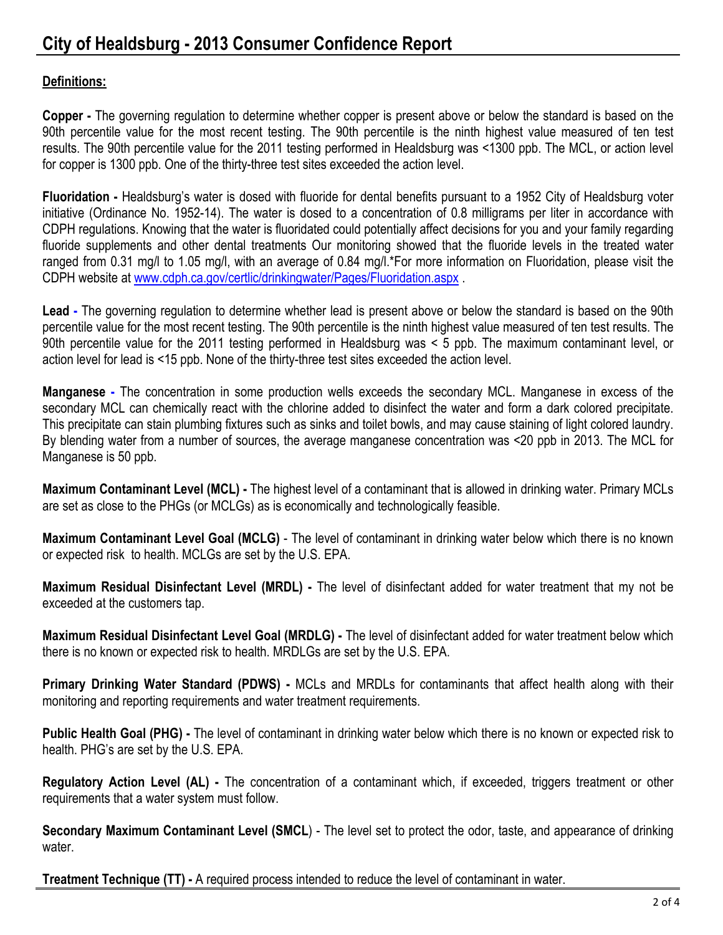# **Definitions:**

**Copper -** The governing regulation to determine whether copper is present above or below the standard is based on the 90th percentile value for the most recent testing. The 90th percentile is the ninth highest value measured of ten test results. The 90th percentile value for the 2011 testing performed in Healdsburg was <1300 ppb. The MCL, or action level for copper is 1300 ppb. One of the thirty-three test sites exceeded the action level.

**Fluoridation -** Healdsburg's water is dosed with fluoride for dental benefits pursuant to a 1952 City of Healdsburg voter initiative (Ordinance No. 1952-14). The water is dosed to a concentration of 0.8 milligrams per liter in accordance with CDPH regulations. Knowing that the water is fluoridated could potentially affect decisions for you and your family regarding fluoride supplements and other dental treatments Our monitoring showed that the fluoride levels in the treated water ranged from 0.31 mg/l to 1.05 mg/l, with an average of 0.84 mg/l.\*For more information on Fluoridation, please visit the CDPH website at www.cdph.ca.gov/certlic/drinkingwater/Pages/Fluoridation.aspx .

**Lead -** The governing regulation to determine whether lead is present above or below the standard is based on the 90th percentile value for the most recent testing. The 90th percentile is the ninth highest value measured of ten test results. The 90th percentile value for the 2011 testing performed in Healdsburg was < 5 ppb. The maximum contaminant level, or action level for lead is <15 ppb. None of the thirty-three test sites exceeded the action level.

**Manganese -** The concentration in some production wells exceeds the secondary MCL. Manganese in excess of the secondary MCL can chemically react with the chlorine added to disinfect the water and form a dark colored precipitate. This precipitate can stain plumbing fixtures such as sinks and toilet bowls, and may cause staining of light colored laundry. By blending water from a number of sources, the average manganese concentration was <20 ppb in 2013. The MCL for Manganese is 50 ppb.

**Maximum Contaminant Level (MCL) -** The highest level of a contaminant that is allowed in drinking water. Primary MCLs are set as close to the PHGs (or MCLGs) as is economically and technologically feasible.

**Maximum Contaminant Level Goal (MCLG)** - The level of contaminant in drinking water below which there is no known or expected risk to health. MCLGs are set by the U.S. EPA.

**Maximum Residual Disinfectant Level (MRDL) -** The level of disinfectant added for water treatment that my not be exceeded at the customers tap.

**Maximum Residual Disinfectant Level Goal (MRDLG) -** The level of disinfectant added for water treatment below which there is no known or expected risk to health. MRDLGs are set by the U.S. EPA.

**Primary Drinking Water Standard (PDWS) -** MCLs and MRDLs for contaminants that affect health along with their monitoring and reporting requirements and water treatment requirements.

**Public Health Goal (PHG) -** The level of contaminant in drinking water below which there is no known or expected risk to health. PHG's are set by the U.S. EPA.

**Regulatory Action Level (AL) -** The concentration of a contaminant which, if exceeded, triggers treatment or other requirements that a water system must follow.

**Secondary Maximum Contaminant Level (SMCL**) - The level set to protect the odor, taste, and appearance of drinking water.

**Treatment Technique (TT) -** A required process intended to reduce the level of contaminant in water.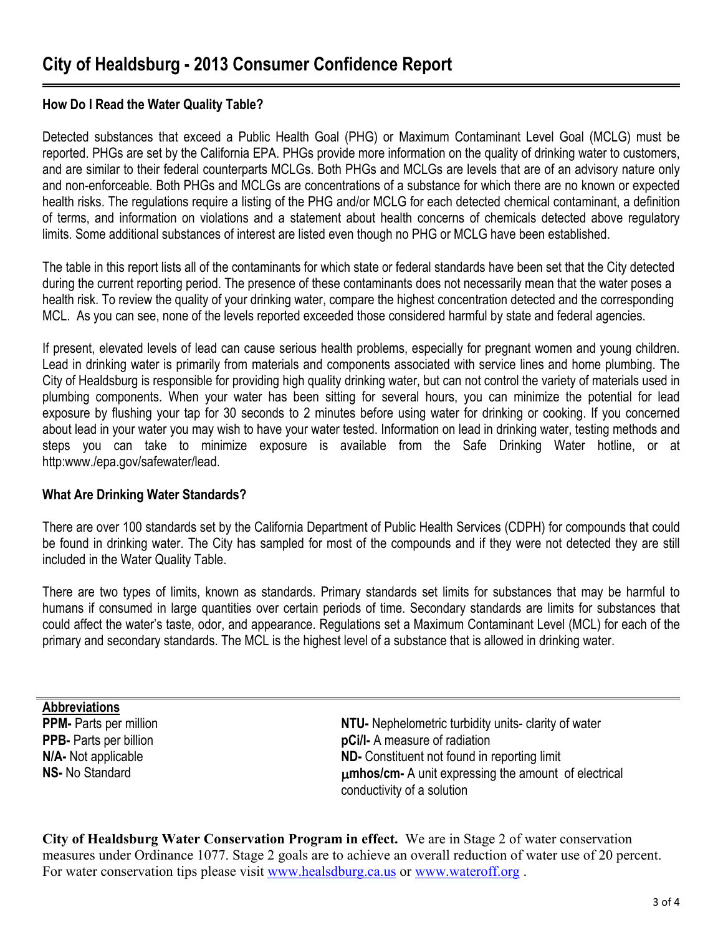## **How Do I Read the Water Quality Table?**

Detected substances that exceed a Public Health Goal (PHG) or Maximum Contaminant Level Goal (MCLG) must be reported. PHGs are set by the California EPA. PHGs provide more information on the quality of drinking water to customers, and are similar to their federal counterparts MCLGs. Both PHGs and MCLGs are levels that are of an advisory nature only and non-enforceable. Both PHGs and MCLGs are concentrations of a substance for which there are no known or expected health risks. The regulations require a listing of the PHG and/or MCLG for each detected chemical contaminant, a definition of terms, and information on violations and a statement about health concerns of chemicals detected above regulatory limits. Some additional substances of interest are listed even though no PHG or MCLG have been established.

The table in this report lists all of the contaminants for which state or federal standards have been set that the City detected during the current reporting period. The presence of these contaminants does not necessarily mean that the water poses a health risk. To review the quality of your drinking water, compare the highest concentration detected and the corresponding MCL. As you can see, none of the levels reported exceeded those considered harmful by state and federal agencies.

If present, elevated levels of lead can cause serious health problems, especially for pregnant women and young children. Lead in drinking water is primarily from materials and components associated with service lines and home plumbing. The City of Healdsburg is responsible for providing high quality drinking water, but can not control the variety of materials used in plumbing components. When your water has been sitting for several hours, you can minimize the potential for lead exposure by flushing your tap for 30 seconds to 2 minutes before using water for drinking or cooking. If you concerned about lead in your water you may wish to have your water tested. Information on lead in drinking water, testing methods and steps you can take to minimize exposure is available from the Safe Drinking Water hotline, or at http:www./epa.gov/safewater/lead.

## **What Are Drinking Water Standards?**

There are over 100 standards set by the California Department of Public Health Services (CDPH) for compounds that could be found in drinking water. The City has sampled for most of the compounds and if they were not detected they are still included in the Water Quality Table.

There are two types of limits, known as standards. Primary standards set limits for substances that may be harmful to humans if consumed in large quantities over certain periods of time. Secondary standards are limits for substances that could affect the water's taste, odor, and appearance. Regulations set a Maximum Contaminant Level (MCL) for each of the primary and secondary standards. The MCL is the highest level of a substance that is allowed in drinking water.

**Abbreviations** 

**PPM-** Parts per million **NTU-** Nephelometric turbidity units- clarity of water **PPB-** Parts per billion **pCi/l-** A measure of radiation **N/A-** Not applicable **ND-** Constituent not found in reporting limit **NS- No Standard <b>MS-** No Standard **metally consider the amount of electrical** and **unit expressing the amount of electrical** conductivity of a solution

**City of Healdsburg Water Conservation Program in effect.** We are in Stage 2 of water conservation measures under Ordinance 1077. Stage 2 goals are to achieve an overall reduction of water use of 20 percent. For water conservation tips please visit www.healsdburg.ca.us or www.wateroff.org .